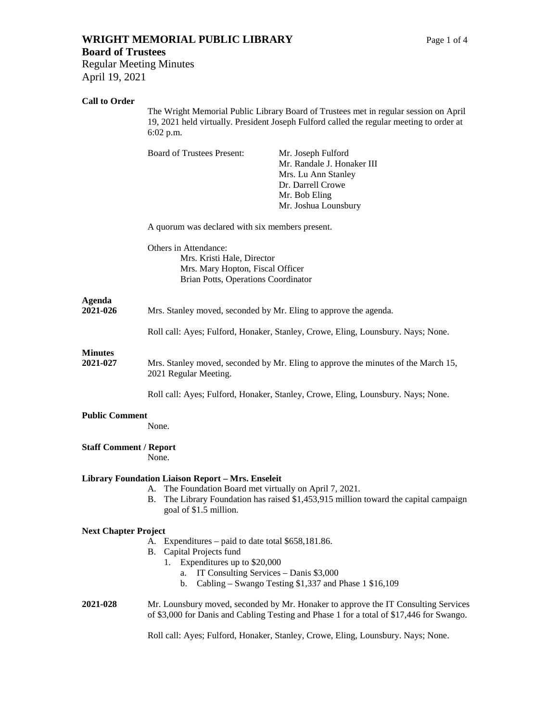# **WRIGHT MEMORIAL PUBLIC LIBRARY** Page 1 of 4

#### **Board of Trustees**

Regular Meeting Minutes April 19, 2021

## **Call to Order**

The Wright Memorial Public Library Board of Trustees met in regular session on April 19, 2021 held virtually. President Joseph Fulford called the regular meeting to order at 6:02 p.m.

Board of Trustees Present: Mr. Joseph Fulford

Mr. Randale J. Honaker III Mrs. Lu Ann Stanley Dr. Darrell Crowe Mr. Bob Eling Mr. Joshua Lounsbury

A quorum was declared with six members present.

Others in Attendance: Mrs. Kristi Hale, Director Mrs. Mary Hopton, Fiscal Officer Brian Potts, Operations Coordinator

# **Agenda**

**2021-026** Mrs. Stanley moved, seconded by Mr. Eling to approve the agenda.

Roll call: Ayes; Fulford, Honaker, Stanley, Crowe, Eling, Lounsbury. Nays; None.

## **Minutes**

**2021-027** Mrs. Stanley moved, seconded by Mr. Eling to approve the minutes of the March 15, 2021 Regular Meeting.

Roll call: Ayes; Fulford, Honaker, Stanley, Crowe, Eling, Lounsbury. Nays; None.

## **Public Comment**

None.

## **Staff Comment / Report**

None.

## **Library Foundation Liaison Report – Mrs. Enseleit**

- A. The Foundation Board met virtually on April 7, 2021.
- B. The Library Foundation has raised \$1,453,915 million toward the capital campaign goal of \$1.5 million.

## **Next Chapter Project**

- A. Expenditures paid to date total \$658,181.86.
- B. Capital Projects fund
	- 1. Expenditures up to \$20,000
		- a. IT Consulting Services Danis \$3,000
		- b. Cabling Swango Testing \$1,337 and Phase 1 \$16,109

#### **2021-028** Mr. Lounsbury moved, seconded by Mr. Honaker to approve the IT Consulting Services of \$3,000 for Danis and Cabling Testing and Phase 1 for a total of \$17,446 for Swango.

Roll call: Ayes; Fulford, Honaker, Stanley, Crowe, Eling, Lounsbury. Nays; None.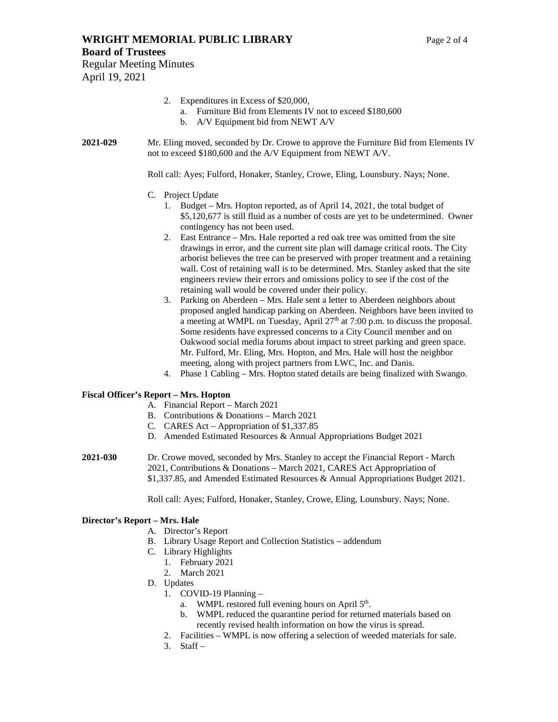- 2. Expenditures in Excess of \$20,000,
	- a. Furniture Bid from Elements IV not to exceed \$180,600
	- b. A/V Equipment bid from NEWT A/V
- **2021-029** Mr. Eling moved, seconded by Dr. Crowe to approve the Furniture Bid from Elements IV not to exceed \$180,600 and the A/V Equipment from NEWT A/V.

Roll call: Ayes; Fulford, Honaker, Stanley, Crowe, Eling, Lounsbury. Nays; None.

- C. Project Update
	- 1. Budget Mrs. Hopton reported, as of April 14, 2021, the total budget of \$5,120,677 is still fluid as a number of costs are yet to be undetermined. Owner contingency has not been used.
	- 2. East Entrance Mrs. Hale reported a red oak tree was omitted from the site drawings in error, and the current site plan will damage critical roots. The City arborist believes the tree can be preserved with proper treatment and a retaining wall. Cost of retaining wall is to be determined. Mrs. Stanley asked that the site engineers review their errors and omissions policy to see if the cost of the retaining wall would be covered under their policy.
	- 3. Parking on Aberdeen Mrs. Hale sent a letter to Aberdeen neighbors about proposed angled handicap parking on Aberdeen. Neighbors have been invited to a meeting at WMPL on Tuesday, April 27<sup>th</sup> at 7:00 p.m. to discuss the proposal. Some residents have expressed concerns to a City Council member and on Oakwood social media forums about impact to street parking and green space. Mr. Fulford, Mr. Eling, Mrs. Hopton, and Mrs. Hale will host the neighbor meeting, along with project partners from LWC, Inc. and Danis.
	- 4. Phase 1 Cabling Mrs. Hopton stated details are being finalized with Swango.

#### **Fiscal Officer's Report – Mrs. Hopton**

- A. Financial Report March 2021
- B. Contributions & Donations March 2021
- C. CARES Act Appropriation of \$1,337.85
- D. Amended Estimated Resources & Annual Appropriations Budget 2021
- **2021-030** Dr. Crowe moved, seconded by Mrs. Stanley to accept the Financial Report March 2021, Contributions & Donations – March 2021, CARES Act Appropriation of \$1,337.85, and Amended Estimated Resources & Annual Appropriations Budget 2021.

Roll call: Ayes; Fulford, Honaker, Stanley, Crowe, Eling, Lounsbury. Nays; None.

#### **Director's Report – Mrs. Hale**

- A. Director's Report
- B. Library Usage Report and Collection Statistics addendum
- C. Library Highlights
	- 1. February 2021
	- 2. March 2021
- D. Updates
	- 1. COVID-19 Planning
		- a. WMPL restored full evening hours on April 5<sup>th</sup>.
		- b. WMPL reduced the quarantine period for returned materials based on recently revised health information on how the virus is spread.
	- 2. Facilities WMPL is now offering a selection of weeded materials for sale.
	- $3.$  Staff –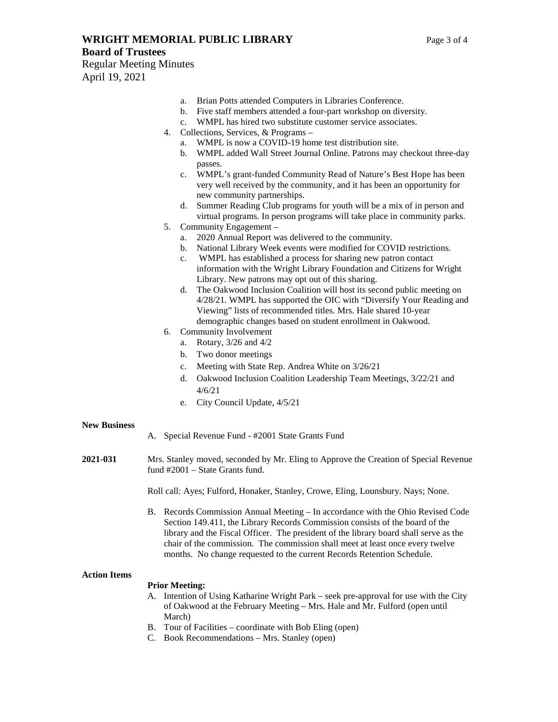## **WRIGHT MEMORIAL PUBLIC LIBRARY** Page 3 of 4

- a. Brian Potts attended Computers in Libraries Conference.
- b. Five staff members attended a four-part workshop on diversity.
- c. WMPL has hired two substitute customer service associates.
- 4. Collections, Services, & Programs
	- a. WMPL is now a COVID-19 home test distribution site.
	- b. WMPL added Wall Street Journal Online. Patrons may checkout three-day passes.
	- c. WMPL's grant-funded Community Read of Nature's Best Hope has been very well received by the community, and it has been an opportunity for new community partnerships.
	- d. Summer Reading Club programs for youth will be a mix of in person and virtual programs. In person programs will take place in community parks.
- 5. Community Engagement
	- a. 2020 Annual Report was delivered to the community.
	- b. National Library Week events were modified for COVID restrictions.
	- c. WMPL has established a process for sharing new patron contact information with the Wright Library Foundation and Citizens for Wright Library. New patrons may opt out of this sharing.
	- d. The Oakwood Inclusion Coalition will host its second public meeting on 4/28/21. WMPL has supported the OIC with "Diversify Your Reading and Viewing" lists of recommended titles. Mrs. Hale shared 10-year demographic changes based on student enrollment in Oakwood.
- 6. Community Involvement
	- a. Rotary, 3/26 and 4/2
	- b. Two donor meetings
	- c. Meeting with State Rep. Andrea White on 3/26/21
	- d. Oakwood Inclusion Coalition Leadership Team Meetings, 3/22/21 and 4/6/21
	- e. City Council Update, 4/5/21

#### **New Business**

- A. Special Revenue Fund #2001 State Grants Fund
- **2021-031** Mrs. Stanley moved, seconded by Mr. Eling to Approve the Creation of Special Revenue fund #2001 – State Grants fund.

Roll call: Ayes; Fulford, Honaker, Stanley, Crowe, Eling, Lounsbury. Nays; None.

B. Records Commission Annual Meeting – In accordance with the Ohio Revised Code Section 149.411, the Library Records Commission consists of the board of the library and the Fiscal Officer. The president of the library board shall serve as the chair of the commission. The commission shall meet at least once every twelve months. No change requested to the current Records Retention Schedule.

#### **Action Items**

#### **Prior Meeting:**

- A. Intention of Using Katharine Wright Park seek pre-approval for use with the City of Oakwood at the February Meeting – Mrs. Hale and Mr. Fulford (open until March)
- B. Tour of Facilities coordinate with Bob Eling (open)
- C. Book Recommendations Mrs. Stanley (open)